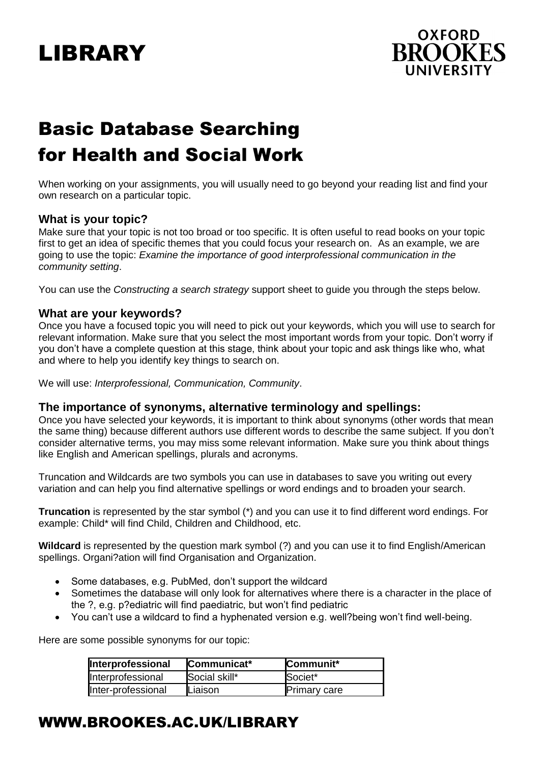# LIBRARY



# Basic Database Searching for Health and Social Work

When working on your assignments, you will usually need to go beyond your reading list and find your own research on a particular topic.

#### **What is your topic?**

Make sure that your topic is not too broad or too specific. It is often useful to read books on your topic first to get an idea of specific themes that you could focus your research on. As an example, we are going to use the topic: *Examine the importance of good interprofessional communication in the community setting*.

You can use the *Constructing a search strategy* support sheet to guide you through the steps below.

#### **What are your keywords?**

Once you have a focused topic you will need to pick out your keywords, which you will use to search for relevant information. Make sure that you select the most important words from your topic. Don't worry if you don't have a complete question at this stage, think about your topic and ask things like who, what and where to help you identify key things to search on.

We will use: *Interprofessional, Communication, Community*.

#### **The importance of synonyms, alternative terminology and spellings:**

Once you have selected your keywords, it is important to think about synonyms (other words that mean the same thing) because different authors use different words to describe the same subject. If you don't consider alternative terms, you may miss some relevant information. Make sure you think about things like English and American spellings, plurals and acronyms.

Truncation and Wildcards are two symbols you can use in databases to save you writing out every variation and can help you find alternative spellings or word endings and to broaden your search.

**Truncation** is represented by the star symbol (\*) and you can use it to find different word endings. For example: Child\* will find Child, Children and Childhood, etc.

**Wildcard** is represented by the question mark symbol (?) and you can use it to find English/American spellings. Organi?ation will find Organisation and Organization.

- Some databases, e.g. PubMed, don't support the wildcard
- Sometimes the database will only look for alternatives where there is a character in the place of the ?, e.g. p?ediatric will find paediatric, but won't find pediatric
- You can't use a wildcard to find a hyphenated version e.g. well?being won't find well-being.

Here are some possible synonyms for our topic:

| Interprofessional  | Communicat*   | Communit*           |
|--------------------|---------------|---------------------|
| Interprofessional  | Social skill* | Societ*             |
| Inter-professional | Liaison       | <b>Primary care</b> |

# WWW.BROOKES.AC.UK/LIBRARY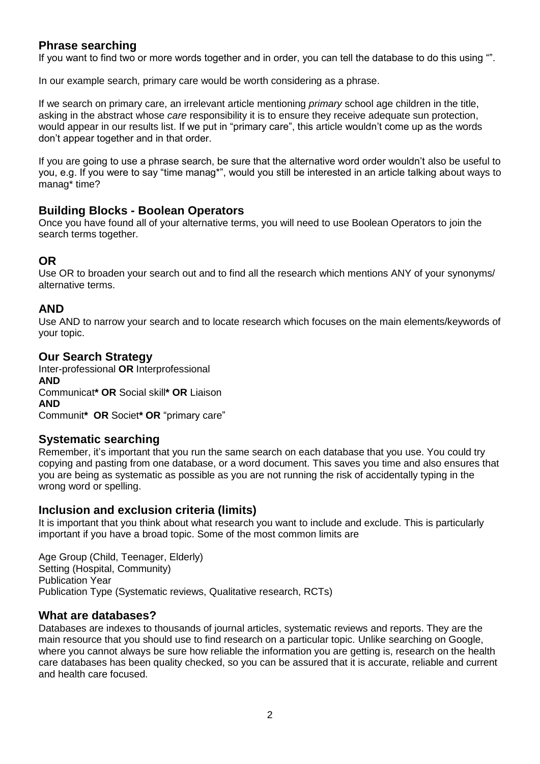# **Phrase searching**

If you want to find two or more words together and in order, you can tell the database to do this using "".

In our example search, primary care would be worth considering as a phrase.

If we search on primary care, an irrelevant article mentioning *primary* school age children in the title, asking in the abstract whose *care* responsibility it is to ensure they receive adequate sun protection, would appear in our results list. If we put in "primary care", this article wouldn't come up as the words don't appear together and in that order.

If you are going to use a phrase search, be sure that the alternative word order wouldn't also be useful to you, e.g. If you were to say "time manag\*", would you still be interested in an article talking about ways to manag\* time?

# **Building Blocks - Boolean Operators**

Once you have found all of your alternative terms, you will need to use Boolean Operators to join the search terms together.

## **OR**

Use OR to broaden your search out and to find all the research which mentions ANY of your synonyms/ alternative terms.

# **AND**

Use AND to narrow your search and to locate research which focuses on the main elements/keywords of your topic.

#### **Our Search Strategy**

Inter-professional **OR** Interprofessional **AND** Communicat**\* OR** Social skill**\* OR** Liaison **AND** Communit**\* OR** Societ**\* OR** "primary care"

# **Systematic searching**

Remember, it's important that you run the same search on each database that you use. You could try copying and pasting from one database, or a word document. This saves you time and also ensures that you are being as systematic as possible as you are not running the risk of accidentally typing in the wrong word or spelling.

#### **Inclusion and exclusion criteria (limits)**

It is important that you think about what research you want to include and exclude. This is particularly important if you have a broad topic. Some of the most common limits are

Age Group (Child, Teenager, Elderly) Setting (Hospital, Community) Publication Year Publication Type (Systematic reviews, Qualitative research, RCTs)

#### **What are databases?**

Databases are indexes to thousands of journal articles, systematic reviews and reports. They are the main resource that you should use to find research on a particular topic. Unlike searching on Google, where you cannot always be sure how reliable the information you are getting is, research on the health care databases has been quality checked, so you can be assured that it is accurate, reliable and current and health care focused.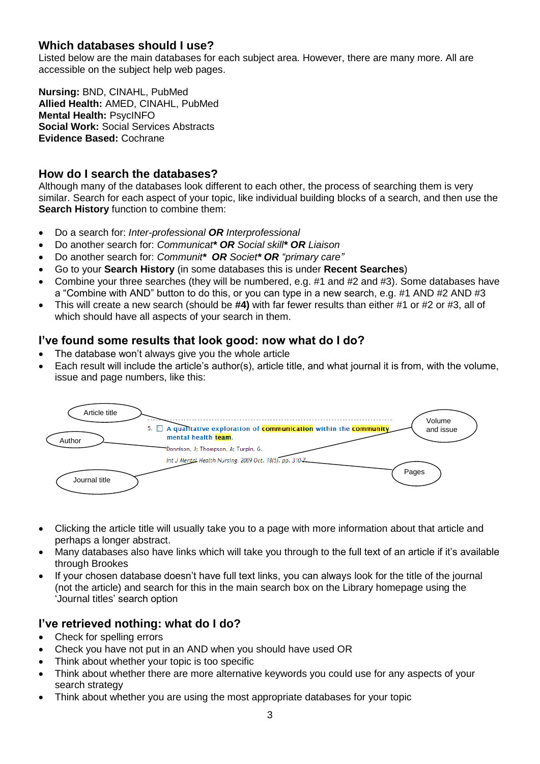# **Which databases should I use?**

Listed below are the main databases for each subject area. However, there are many more. All are accessible on the subject help web pages.

**Nursing:** BND, CINAHL, PubMed **Allied Health:** AMED, CINAHL, PubMed **Mental Health:** PsycINFO **Social Work:** Social Services Abstracts **Evidence Based:** Cochrane

## **How do I search the databases?**

Although many of the databases look different to each other, the process of searching them is very similar. Search for each aspect of your topic, like individual building blocks of a search, and then use the **Search History** function to combine them:

- Do a search for: *Inter-professional OR Interprofessional*
- Do another search for: *Communicat\* OR Social skill\* OR Liaison*
- Do another search for: *Communit\* OR Societ\* OR "primary care"*
- Go to your **Search History** (in some databases this is under **Recent Searches**)
- Combine your three searches (they will be numbered, e.g.  $#1$  and  $#2$  and  $#3$ ). Some databases have a "Combine with AND" button to do this, or you can type in a new search, e.g. #1 AND #2 AND #3
- This will create a new search (should be **#4)** with far fewer results than either #1 or #2 or #3, all of which should have all aspects of your search in them.

# **I've found some results that look good: now what do I do?**

- The database won't always give you the whole article
- Each result will include the article's author(s), article title, and what journal it is from, with the volume, issue and page numbers, like this:



- Clicking the article title will usually take you to a page with more information about that article and perhaps a longer abstract.
- Many databases also have links which will take you through to the full text of an article if it's available through Brookes
- If your chosen database doesn't have full text links, you can always look for the title of the journal (not the article) and search for this in the main search box on the Library homepage using the 'Journal titles' search option

# **I've retrieved nothing: what do I do?**

- Check for spelling errors
- Check you have not put in an AND when you should have used OR
- Think about whether your topic is too specific
- Think about whether there are more alternative keywords you could use for any aspects of your search strategy
- Think about whether you are using the most appropriate databases for your topic